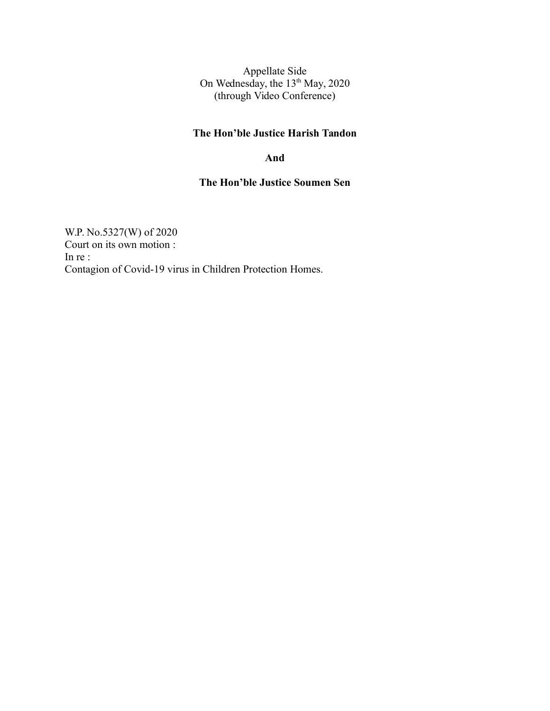Appellate Side On Wednesday, the 13<sup>th</sup> May, 2020 (through Video Conference)

### **The Hon'ble Justice Harish Tandon**

#### **And**

### **The Hon'ble Justice Soumen Sen**

W.P. No.5327(W) of 2020 Court on its own motion : In re : Contagion of Covid-19 virus in Children Protection Homes.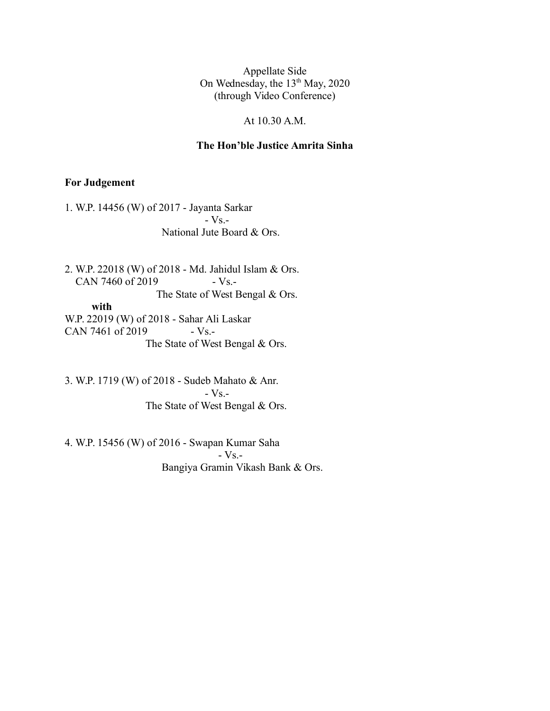Appellate Side On Wednesday, the 13<sup>th</sup> May, 2020 (through Video Conference)

#### At 10.30 A.M.

#### **The Hon'ble Justice Amrita Sinha**

#### **For Judgement**

1. W.P. 14456 (W) of 2017 - Jayanta Sarkar  $-Vs$ . National Jute Board & Ors.

2. W.P. 22018 (W) of 2018 - Md. Jahidul Islam & Ors. CAN 7460 of 2019 - Vs.-The State of West Bengal & Ors.

 **with** W.P. 22019 (W) of 2018 - Sahar Ali Laskar CAN 7461 of 2019  $-Vs$ . The State of West Bengal & Ors.

3. W.P. 1719 (W) of 2018 - Sudeb Mahato & Anr. - Vs.- The State of West Bengal & Ors.

4. W.P. 15456 (W) of 2016 - Swapan Kumar Saha - Vs.- Bangiya Gramin Vikash Bank & Ors.